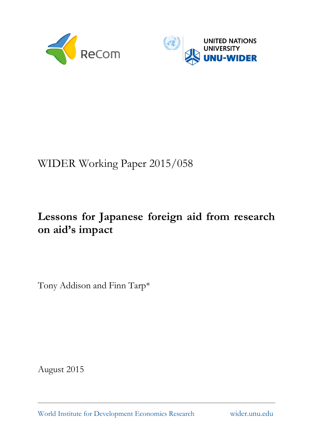



# WIDER Working Paper 2015/058

## **Lessons for Japanese foreign aid from research on aid's impact**

Tony Addison and Finn Tarp\*

August 2015

World Institute for Development Economics Research wider.unu.edu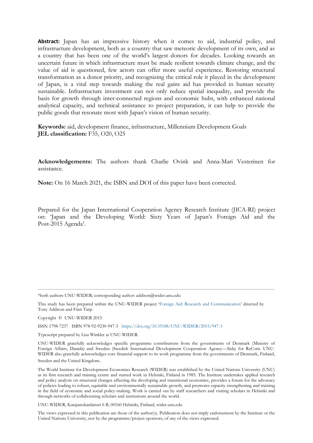**Abstract:** Japan has an impressive history when it comes to aid, industrial policy, and infrastructure development, both as a country that saw meteoric development of its own, and as a country that has been one of the world's largest donors for decades. Looking towards an uncertain future in which infrastructure must be made resilient towards climate change, and the value of aid is questioned, few actors can offer more useful experience. Restoring structural transformation as a donor priority, and recognizing the critical role it played in the development of Japan, is a vital step towards making the real gains aid has provided in human security sustainable. Infrastructure investment can not only reduce spatial inequality, and provide the basis for growth through inter-connected regions and economic hubs, with enhanced national analytical capacity, and technical assistance to project preparation, it can help to provide the public goods that resonate most with Japan's vision of human security.

**Keywords:** aid, development finance, infrastructure, Millennium Development Goals **JEL classification:** F35, O20, O25

**Acknowledgements:** The authors thank Charlie Ovink and Anna-Mari Vesterinen for assistance.

**Note:** On 16 March 2021, the ISBN and DOI of this paper have been corrected.

Prepared for the Japan International Cooperation Agency Research Institute (JICA-RI) project on: 'Japan and the Developing World: Sixty Years of Japan's Foreign Aid and the Post-2015 Agenda'.

ISSN 1798-7237 ISBN 978-92-9230-947-3 <https://doi.org/10.35188/UNU-WIDER/2015/947-3>

Typescript prepared by Lisa Winkler at UNU-WIDER.

UNU-WIDER gratefully acknowledges specific programme contributions from the governments of Denmark (Ministry of Foreign Affairs, Danida) and Sweden (Swedish International Development Cooperation Agency—Sida) for ReCom. UNU-WIDER also gratefully acknowledges core financial support to its work programme from the governments of Denmark, Finland, Sweden and the United Kingdom.

UNU-WIDER, Katajanokanlaituri 6 B, 00160 Helsinki, Finland, wider.unu.edu

The views expressed in this publication are those of the author(s). Publication does not imply endorsement by the Institute or the United Nations University, nor by the programme/project sponsors, of any of the views expressed.

<sup>\*</sup>both authors UNU-WIDER; corresponding author: addison@wider.unu.edu

This study has been prepared within the UNU-WIDER project '[Foreign Aid: Research and Communication](http://www.wider.unu.edu/research/current-programme/en_GB/Foreign-Aid-2011/)' directed by Tony Addison and Finn Tarp.

Copyright © UNU-WIDER 2015

The World Institute for Development Economics Research (WIDER) was established by the United Nations University (UNU) as its first research and training centre and started work in Helsinki, Finland in 1985. The Institute undertakes applied research and policy analysis on structural changes affecting the developing and transitional economies, provides a forum for the advocacy of policies leading to robust, equitable and environmentally sustainable growth, and promotes capacity strengthening and training in the field of economic and social policy-making. Work is carried out by staff researchers and visiting scholars in Helsinki and through networks of collaborating scholars and institutions around the world.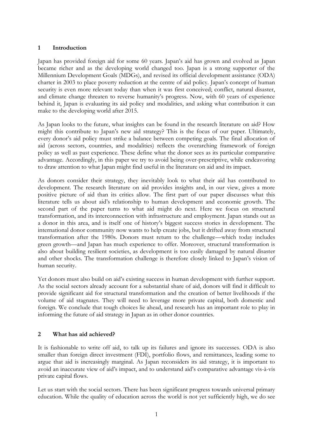### **1 Introduction**

Japan has provided foreign aid for some 60 years. Japan's aid has grown and evolved as Japan became richer and as the developing world changed too. Japan is a strong supporter of the Millennium Development Goals (MDGs), and revised its official development assistance (ODA) charter in 2003 to place poverty reduction at the centre of aid policy. Japan's concept of human security is even more relevant today than when it was first conceived; conflict, natural disaster, and climate change threaten to reverse humanity's progress. Now, with 60 years of experience behind it, Japan is evaluating its aid policy and modalities, and asking what contribution it can make to the developing world after 2015.

As Japan looks to the future, what insights can be found in the research literature on aid? How might this contribute to Japan's new aid strategy? This is the focus of our paper. Ultimately, every donor's aid policy must strike a balance between competing goals. The final allocation of aid (across sectors, countries, and modalities) reflects the overarching framework of foreign policy as well as past experience. These define what the donor sees as its particular comparative advantage. Accordingly, in this paper we try to avoid being over-prescriptive, while endeavoring to draw attention to what Japan might find useful in the literature on aid and its impact.

As donors consider their strategy, they inevitably look to what their aid has contributed to development. The research literature on aid provides insights and, in our view, gives a more positive picture of aid than its critics allow. The first part of our paper discusses what this literature tells us about aid's relationship to human development and economic growth. The second part of the paper turns to what aid might do next. Here we focus on structural transformation, and its interconnection with infrastructure and employment. Japan stands out as a donor in this area, and is itself one of history's biggest success stories in development. The international donor community now wants to help create jobs, but it drifted away from structural transformation after the 1980s. Donors must return to the challenge—which today includes green growth—and Japan has much experience to offer. Moreover, structural transformation is also about building resilient societies, as development is too easily damaged by natural disaster and other shocks. The transformation challenge is therefore closely linked to Japan's vision of human security.

Yet donors must also build on aid's existing success in human development with further support. As the social sectors already account for a substantial share of aid, donors will find it difficult to provide significant aid for structural transformation and the creation of better livelihoods if the volume of aid stagnates. They will need to leverage more private capital, both domestic and foreign. We conclude that tough choices lie ahead, and research has an important role to play in informing the future of aid strategy in Japan as in other donor countries.

### **2 What has aid achieved?**

It is fashionable to write off aid, to talk up its failures and ignore its successes. ODA is also smaller than foreign direct investment (FDI), portfolio flows, and remittances, leading some to argue that aid is increasingly marginal. As Japan reconsiders its aid strategy, it is important to avoid an inaccurate view of aid's impact, and to understand aid's comparative advantage vis-à-vis private capital flows.

Let us start with the social sectors. There has been significant progress towards universal primary education. While the quality of education across the world is not yet sufficiently high, we do see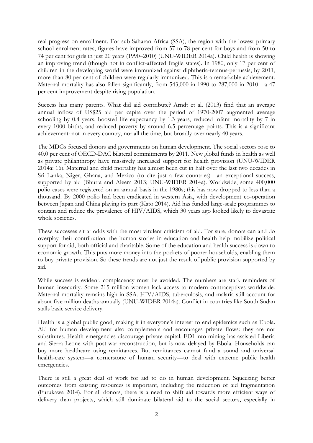real progress on enrollment. For sub-Saharan Africa (SSA), the region with the lowest primary school enrolment rates, figures have improved from 57 to 78 per cent for boys and from 50 to 74 per cent for girls in just 20 years (1990–2010) (UNU-WIDER 2014a). Child health is showing an improving trend (though not in conflict-affected fragile states). In 1980, only 17 per cent of children in the developing world were immunized against diphtheria-tetanus-pertussis; by 2011, more than 80 per cent of children were regularly immunized. This is a remarkable achievement. Maternal mortality has also fallen significantly, from 543,000 in 1990 to 287,000 in 2010—a 47 per cent improvement despite rising population.

Success has many parents. What did aid contribute? Arndt et al. (2013) find that an average annual inflow of US\$25 aid per capita over the period of 1970-2007 augmented average schooling by 0.4 years, boosted life expectancy by 1.3 years, reduced infant mortality by 7 in every 1000 births, and reduced poverty by around 6.5 percentage points. This is a significant achievement: not in every country, nor all the time, but broadly over nearly 40 years.

The MDGs focused donors and governments on human development. The social sectors rose to 40.0 per cent of OECD-DAC bilateral commitments by 2011. New global funds in health as well as private philanthropy have massively increased support for health provision (UNU-WIDER 2014a: 16). Maternal and child mortality has almost been cut in half over the last two decades in Sri Lanka, Niger, Ghana, and Mexico (to cite just a few countries)—an exceptional success, supported by aid (Bhutta and Aleem 2013; UNU-WIDER 2014a). Worldwide, some 400,000 polio cases were registered on an annual basis in the 1980s; this has now dropped to less than a thousand. By 2000 polio had been eradicated in western Asia, with development co-operation between Japan and China playing its part (Kato 2014). Aid has funded large-scale programmes to contain and reduce the prevalence of HIV/AIDS, which 30 years ago looked likely to devastate whole societies.

These successes sit at odds with the most virulent criticism of aid. For sure, donors can and do overplay their contribution: the human stories in education and health help mobilize political support for aid, both official and charitable. Some of the education and health success is down to economic growth. This puts more money into the pockets of poorer households, enabling them to buy private provision. So these trends are not just the result of public provision supported by aid.

While success is evident, complacency must be avoided. The numbers are stark reminders of human insecurity. Some 215 million women lack access to modern contraceptives worldwide. Maternal mortality remains high in SSA. HIV/AIDS, tuberculosis, and malaria still account for about five million deaths annually (UNU-WIDER 2014a). Conflict in countries like South Sudan stalls basic service delivery.

Health is a global public good, making it in everyone's interest to end epidemics such as Ebola. Aid for human development also complements and encourages private flows: they are not substitutes. Health emergencies discourage private capital. FDI into mining has assisted Liberia and Sierra Leone with post-war reconstruction, but is now delayed by Ebola. Households can buy more healthcare using remittances. But remittances cannot fund a sound and universal health-care system—a cornerstone of human security—to deal with extreme public health emergencies.

There is still a great deal of work for aid to do in human development. Squeezing better outcomes from existing resources is important, including the reduction of aid fragmentation (Furukawa 2014). For all donors, there is a need to shift aid towards more efficient ways of delivery than projects, which still dominate bilateral aid to the social sectors, especially in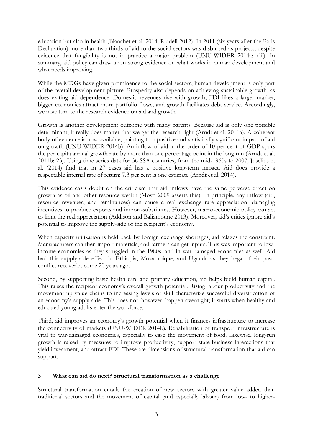education but also in health (Blanchet et al. 2014; Riddell 2012). In 2011 (six years after the Paris Declaration) more than two-thirds of aid to the social sectors was disbursed as projects, despite evidence that fungibility is not in practice a major problem (UNU-WIDER 2014a: xiii). In summary, aid policy can draw upon strong evidence on what works in human development and what needs improving.

While the MDGs have given prominence to the social sectors, human development is only part of the overall development picture. Prosperity also depends on achieving sustainable growth, as does exiting aid dependence. Domestic revenues rise with growth, FDI likes a larger market, bigger economies attract more portfolio flows, and growth facilitates debt-service. Accordingly, we now turn to the research evidence on aid and growth.

Growth is another development outcome with many parents. Because aid is only one possible determinant, it really does matter that we get the research right (Arndt et al. 2011a). A coherent body of evidence is now available, pointing to a positive and statistically significant impact of aid on growth (UNU-WIDER 2014b). An inflow of aid in the order of 10 per cent of GDP spurs the per capita annual growth rate by more than one percentage point in the long run (Arndt et al. 2011b: 23). Using time series data for 36 SSA countries, from the mid-1960s to 2007, Juselius et al. (2014) find that in 27 cases aid has a positive long-term impact. Aid does provide a respectable internal rate of return: 7.3 per cent is one estimate (Arndt et al. 2014).

This evidence casts doubt on the criticism that aid inflows have the same perverse effect on growth as oil and other resource wealth (Moyo 2009 asserts this). In principle, any inflow (aid, resource revenues, and remittances) can cause a real exchange rate appreciation, damaging incentives to produce exports and import-substitutes. However, macro-economic policy can act to limit the real appreciation (Addison and Baliamoune 2013). Moreover, aid's critics ignore aid's potential to improve the supply-side of the recipient's economy.

When capacity utilization is held back by foreign exchange shortages, aid relaxes the constraint. Manufacturers can then import materials, and farmers can get inputs. This was important to lowincome economies as they struggled in the 1980s, and in war-damaged economies as well. Aid had this supply-side effect in Ethiopia, Mozambique, and Uganda as they began their postconflict recoveries some 20 years ago.

Second, by supporting basic health care and primary education, aid helps build human capital. This raises the recipient economy's overall growth potential. Rising labour productivity and the movement up value-chains to increasing levels of skill characterize successful diversification of an economy's supply-side. This does not, however, happen overnight; it starts when healthy and educated young adults enter the workforce.

Third, aid improves an economy's growth potential when it finances infrastructure to increase the connectivity of markets (UNU-WIDER 2014b). Rehabilitation of transport infrastructure is vital to war-damaged economies, especially to ease the movement of food. Likewise, long-run growth is raised by measures to improve productivity, support state-business interactions that yield investment, and attract FDI. These are dimensions of structural transformation that aid can support.

#### **3 What can aid do next? Structural transformation as a challenge**

Structural transformation entails the creation of new sectors with greater value added than traditional sectors and the movement of capital (and especially labour) from low- to higher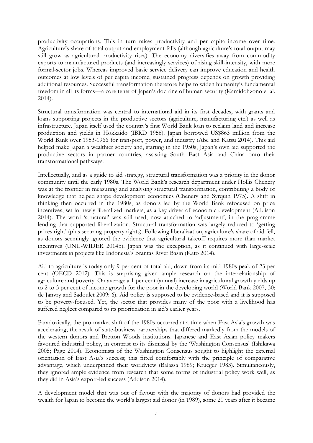productivity occupations. This in turn raises productivity and per capita income over time. Agriculture's share of total output and employment falls (although agriculture's total output may still grow as agricultural productivity rises). The economy diversifies away from commodity exports to manufactured products (and increasingly services) of rising skill-intensity, with more formal-sector jobs. Whereas improved basic service delivery can improve education and health outcomes at low levels of per capita income, sustained progress depends on growth providing additional resources. Successful transformation therefore helps to widen humanity's fundamental freedom in all its forms—a core tenet of Japan's doctrine of human security (Kamidohzono et al. 2014).

Structural transformation was central to international aid in its first decades, with grants and loans supporting projects in the productive sectors (agriculture, manufacturing etc.) as well as infrastructure. Japan itself used the country's first World Bank loan to reclaim land and increase production and yields in Hokkaido (IBRD 1956). Japan borrowed US\$863 million from the World Bank over 1953-1966 for transport, power, and industry (Abe and Katsu 2014). This aid helped make Japan a wealthier society and, starting in the 1950s, Japan's own aid supported the productive sectors in partner countries, assisting South East Asia and China onto their transformational pathways.

Intellectually, and as a guide to aid strategy, structural transformation was a priority in the donor community until the early 1980s. The World Bank's research department under Hollis Chenery was at the frontier in measuring and analysing structural transformation, contributing a body of knowledge that helped shape development economics (Chenery and Syrquin 1975). A shift in thinking then occurred in the 1980s, as donors led by the World Bank refocused on price incentives, set in newly liberalized markets, as a key driver of economic development (Addison 2014). The word 'structural' was still used, now attached to 'adjustment', in the programme lending that supported liberalization. Structural transformation was largely reduced to 'getting prices right' (plus securing property rights). Following liberalization, agriculture's share of aid fell, as donors seemingly ignored the evidence that agricultural takeoff requires more than market incentives (UNU-WIDER 2014b). Japan was the exception, as it continued with large-scale investments in projects like Indonesia's Brantas River Basin (Kato 2014).

Aid to agriculture is today only 9 per cent of total aid, down from its mid-1980s peak of 23 per cent (OECD 2012). This is surprising given ample research on the interrelationship of agriculture and poverty. On average a 1 per cent (annual) increase in agricultural growth yields up to 2 to 3 per cent of income growth for the poor in the developing world (World Bank 2007, 30; de Janvry and Sadoulet 2009: 6). Aid policy is supposed to be evidence-based and it is supposed to be poverty-focused. Yet, the sector that provides many of the poor with a livelihood has suffered neglect compared to its prioritization in aid's earlier years.

Paradoxically, the pro-market shift of the 1980s occurred at a time when East Asia's growth was accelerating, the result of state-business partnerships that differed markedly from the models of the western donors and Bretton Woods institutions. Japanese and East Asian policy makers favoured industrial policy, in contrast to its dismissal by the 'Washington Consensus' (Ishikawa 2005; Page 2014). Economists of the Washington Consensus sought to highlight the external orientation of East Asia's success; this fitted comfortably with the principle of comparative advantage, which underpinned their worldview (Balassa 1989; Krueger 1983). Simultaneously, they ignored ample evidence from research that some forms of industrial policy work well, as they did in Asia's export-led success (Addison 2014).

A development model that was out of favour with the majority of donors had provided the wealth for Japan to become the world's largest aid donor (in 1989), some 20 years after it became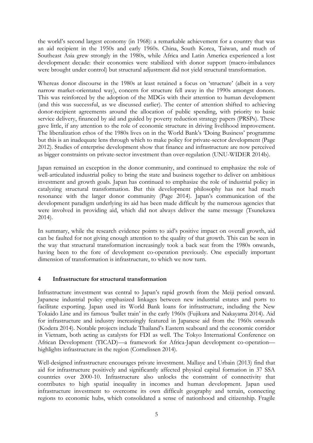the world's second largest economy (in 1968): a remarkable achievement for a country that was an aid recipient in the 1950s and early 1960s. China, South Korea, Taiwan, and much of Southeast Asia grew strongly in the 1980s, while Africa and Latin America experienced a lost development decade: their economies were stabilized with donor support (macro-imbalances were brought under control) but structural adjustment did not yield structural transformation.

Whereas donor discourse in the 1980s at least retained a focus on 'structure' (albeit in a very narrow market-orientated way), concern for structure fell away in the 1990s amongst donors. This was reinforced by the adoption of the MDGs with their attention to human development (and this was successful, as we discussed earlier). The center of attention shifted to achieving donor-recipient agreements around the allocation of public spending, with priority to basic service delivery, financed by aid and guided by poverty reduction strategy papers (PRSPs). These gave little, if any attention to the role of economic structure in driving livelihood improvement. The liberalization ethos of the 1980s lives on in the World Bank's 'Doing Business' programme but this is an inadequate lens through which to make policy for private-sector development (Page 2012). Studies of enterprise development show that finance and infrastructure are now perceived as bigger constraints on private-sector investment than over-regulation (UNU-WIDER 2014b).

Japan remained an exception in the donor community, and continued to emphasize the role of well-articulated industrial policy to bring the state and business together to deliver on ambitious investment and growth goals. Japan has continued to emphasize the role of industrial policy in catalyzing structural transformation. But this development philosophy has not had much resonance with the larger donor community (Page 2014). Japan's communication of the development paradigm underlying its aid has been made difficult by the numerous agencies that were involved in providing aid, which did not always deliver the same message (Tsunekawa 2014).

In summary, while the research evidence points to aid's positive impact on overall growth, aid can be faulted for not giving enough attention to the quality of that growth. This can be seen in the way that structural transformation increasingly took a back seat from the 1980s onwards, having been to the fore of development co-operation previously. One especially important dimension of transformation is infrastructure, to which we now turn.

#### **4 Infrastructure for structural transformation**

Infrastructure investment was central to Japan's rapid growth from the Meiji period onward. Japanese industrial policy emphasized linkages between new industrial estates and ports to facilitate exporting. Japan used its World Bank loans for infrastructure, including the New Tokaido Line and its famous 'bullet train' in the early 1960s (Fujikura and Nakayama 2014). Aid for infrastructure and industry increasingly featured in Japanese aid from the 1960s onwards (Kodera 2014). Notable projects include Thailand's Eastern seaboard and the economic corridor in Vietnam, both acting as catalysts for FDI as well. The Tokyo International Conference on African Development (TICAD)—a framework for Africa-Japan development co-operation highlights infrastructure in the region (Cornelissen 2014).

Well-designed infrastructure encourages private investment. Mallaye and Urbain (2013) find that aid for infrastructure positively and significantly affected physical capital formation in 37 SSA countries over 2000-10. Infrastructure also unlocks the constraint of connectivity that contributes to high spatial inequality in incomes and human development. Japan used infrastructure investment to overcome its own difficult geography and terrain, connecting regions to economic hubs, which consolidated a sense of nationhood and citizenship. Fragile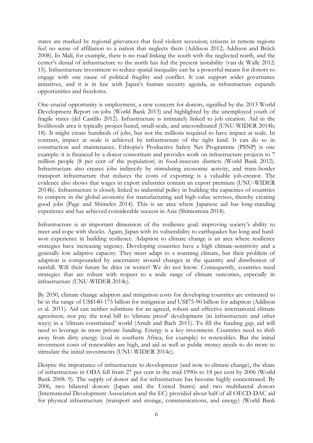states are marked by regional grievances that feed violent secession; citizens in remote regions feel no sense of affiliation to a nation that neglects them (Addison 2012; Addison and Brück 2008). In Mali, for example, there is no road linking the south with the neglected north, and the center's denial of infrastructure to the north has fed the present instability (van de Walle 2012: 15). Infrastructure investment to reduce spatial inequality can be a powerful means for donors to engage with one cause of political fragility and conflict. It can support wider governance initiatives, and it is in line with Japan's human security agenda, as infrastructure expands opportunities and freedoms.

One crucial opportunity is employment, a new concern for donors, signified by the 2013 World Development Report on jobs (World Bank 2013) and highlighted by the unemployed youth of fragile states (del Castillo 2012). Infrastructure is intimately linked to job creation. Aid in the livelihoods area is typically project-based, small-scale, and uncoordinated (UNU-WIDER 2014b, 18). It might create hundreds of jobs, but not the millions required to have impact at scale. In contrast, impact at scale is achieved by infrastructure of the right kind. It can do so in construction and maintenance. Ethiopia's Productive Safety Net Programme (PSNP) is one example: it is financed by a donor consortium and provides work on infrastructure projects to 7 million people (8 per cent of the population) in food-insecure districts (World Bank 2012). Infrastructure also creates jobs indirectly by stimulating economic activity, and trans-border transport infrastructure that reduces the costs of exporting is a valuable job-creator. The evidence also shows that wages in export industries contain an export premium (UNU-WIDER 2014b). Infrastructure is closely linked to industrial policy in building the capacities of countries to compete in the global economy for manufacturing and high-value services, thereby creating good jobs (Page and Shimeles 2014). This is an area where Japanese aid has long-standing experience and has achieved considerable success in Asia (Shimomura 2014).

Infrastructure is an important dimension of the resilience goal: improving society's ability to meet and cope with shocks. Again, Japan with its vulnerability to earthquakes has long and hardwon experience in building resilience. Adaption to climate change is an area where resilience strategies have increasing urgency. Developing countries have a high climate-sensitivity and a generally low adaptive capacity. They must adapt to a warming climate, but their problem of adaption is compounded by uncertainty around changes in the quantity and distribution of rainfall. Will their future be drier or wetter? We do not know. Consequently, countries need strategies that are robust with respect to a wide range of climate outcomes, especially in infrastructure (UNU-WIDER 2014c).

By 2030, climate change adaption and mitigation costs for developing countries are estimated to be in the range of US\$140-175 billion for mitigation and US\$75-90 billion for adaption (Addison et al. 2011). Aid can neither substitute for an agreed, robust and effective international climate agreement, nor pay the total bill to 'climate proof' development (in infrastructure and other ways) in a 'climate-constrained' world (Arndt and Bach 2011). To fill the funding gap, aid will need to leverage in more private funding. Energy is a key investment. Countries need to shift away from dirty energy (coal in southern Africa, for example) to renewables. But the initial investment costs of renewables are high, and aid as well as public money needs to do more to stimulate the initial investments (UNU-WIDER 2014c).

Despite the importance of infrastructure to development (and now to climate change), the share of infrastructure in ODA fell from 27 per cent in the mid-1990s to 18 per cent by 2006 (World Bank 2008: 9). The supply of donor aid for infrastructure has become highly concentrated. By 2006, two bilateral donors (Japan and the United States) and two multilateral donors (International Development Association and the EC) provided about half of all OECD-DAC aid for physical infrastructure (transport and storage, communications, and energy) (World Bank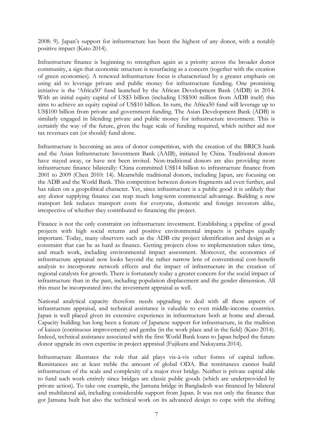2008: 9). Japan's support for infrastructure has been the highest of any donor, with a notably positive impact (Kato 2014).

Infrastructure finance is beginning to strengthen again as a priority across the broader donor community, a sign that economic structure is resurfacing as a concern (together with the creation of green economies). A renewed infrastructure focus is characterized by a greater emphasis on using aid to leverage private and public money for infrastructure funding. One promising initiative is the 'Africa50' fund launched by the African Development Bank (AfDB) in 2014. With an initial equity capital of US\$3 billion (including US\$500 million from AfDB itself) this aims to achieve an equity capital of US\$10 billion. In turn, the Africa50 fund will leverage up to US\$100 billion from private and government funding. The Asian Development Bank (ADB) is similarly engaged in blending private and public money for infrastructure investment. This is certainly the way of the future, given the huge scale of funding required, which neither aid nor tax revenues can (or should) fund alone.

Infrastructure is becoming an area of donor competition, with the creation of the BRICS bank and the Asian Infrastructure Investment Bank (AAIB), initiated by China. Traditional donors have stayed away, or have not been invited. Non-traditional donors are also providing more infrastructure finance bilaterally: China committed US\$14 billion to infrastructure finance from 2001 to 2009 (Chen 2010: 14). Meanwhile traditional donors, including Japan, are focusing on the ADB and the World Bank. This competition between donors fragments aid even further, and has taken on a geopolitical character. Yet, since infrastructure is a public good it is unlikely that any donor supplying finance can reap much long-term commercial advantage. Building a new transport link reduces transport costs for everyone, domestic and foreign investors alike, irrespective of whether they contributed to financing the project.

Finance is not the only constraint on infrastructure investment. Establishing a pipeline of good projects with high social returns and positive environmental impacts is perhaps equally important. Today, many observers such as the ADB cite project identification and design as a constraint that can be as hard as finance. Getting projects close to implementation takes time, and much work, including environmental impact assessment. Moreover, the economics of infrastructure appraisal now looks beyond the rather narrow lens of conventional cost-benefit analysis to incorporate network effects and the impact of infrastructure in the creation of regional catalysts for growth. There is fortunately today a greater concern for the social impact of infrastructure than in the past, including population displacement and the gender dimension. All this must be incorporated into the investment appraisal as well.

National analytical capacity therefore needs upgrading to deal with all these aspects of infrastructure appraisal, and technical assistance is valuable to even middle-income countries. Japan is well placed given its extensive experience in infrastructure both at home and abroad. Capacity building has long been a feature of Japanese support for infrastructure, in the tradition of kaizen (continuous improvement) and gemba (in the work place and in the field) (Kato 2014). Indeed, technical assistance associated with the first World Bank loans to Japan helped the future donor upgrade its own expertise in project appraisal (Fujikura and Nakayama 2014).

Infrastructure illustrates the role that aid plays vis-à-vis other forms of capital inflow. Remittances are at least treble the amount of global ODA. But remittances cannot build infrastructure of the scale and complexity of a major river bridge. Neither is private capital able to fund such work entirely since bridges are classic public goods (which are underprovided by private action). To take one example, the Jamuna bridge in Bangladesh was financed by bilateral and multilateral aid, including considerable support from Japan. It was not only the finance that got Jamuna built but also the technical work on its advanced design to cope with the shifting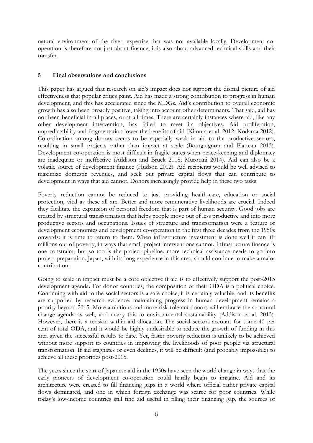natural environment of the river, expertise that was not available locally. Development cooperation is therefore not just about finance, it is also about advanced technical skills and their transfer.

### **5 Final observations and conclusions**

This paper has argued that research on aid's impact does not support the dismal picture of aid effectiveness that popular critics paint. Aid has made a strong contribution to progress in human development, and this has accelerated since the MDGs. Aid's contribution to overall economic growth has also been broadly positive, taking into account other determinants. That said, aid has not been beneficial in all places, or at all times. There are certainly instances where aid, like any other development intervention, has failed to meet its objectives. Aid proliferation, unpredictability and fragmentation lower the benefits of aid (Kimura et al. 2012; Kodama 2012). Co-ordination among donors seems to be especially weak in aid to the productive sectors, resulting in small projects rather than impact at scale (Bourguignon and Platteau 2013). Development co-operation is most difficult in fragile states when peace-keeping and diplomacy are inadequate or ineffective (Addison and Brück 2008; Murotani 2014). Aid can also be a volatile source of development finance (Hudson 2012). Aid recipients would be well advised to maximize domestic revenues, and seek out private capital flows that can contribute to development in ways that aid cannot. Donors increasingly provide help in these two tasks.

Poverty reduction cannot be reduced to just providing health-care, education or social protection, vital as these all are. Better and more remunerative livelihoods are crucial. Indeed they facilitate the expansion of personal freedom that is part of human security. Good jobs are created by structural transformation that helps people move out of less productive and into more productive sectors and occupations. Issues of structure and transformation were a feature of development economics and development co-operation in the first three decades from the 1950s onwards: it is time to return to them. When infrastructure investment is done well it can lift millions out of poverty, in ways that small project interventions cannot. Infrastructure finance is one constraint, but so too is the project pipeline: more technical assistance needs to go into project preparation. Japan, with its long experience in this area, should continue to make a major contribution.

Going to scale in impact must be a core objective if aid is to effectively support the post-2015 development agenda. For donor countries, the composition of their ODA is a political choice. Continuing with aid to the social sectors is a safe choice, it is certainly valuable, and its benefits are supported by research evidence: maintaining progress in human development remains a priority beyond 2015. More ambitious and more risk-tolerant donors will embrace the structural change agenda as well, and marry this to environmental sustainability (Addison et al. 2013). However, there is a tension within aid allocation. The social sectors account for some 40 per cent of total ODA, and it would be highly undesirable to reduce the growth of funding in this area given the successful results to date. Yet, faster poverty reduction is unlikely to be achieved without more support to countries in improving the livelihoods of poor people via structural transformation. If aid stagnates or even declines, it will be difficult (and probably impossible) to achieve all these priorities post-2015.

The years since the start of Japanese aid in the 1950s have seen the world change in ways that the early pioneers of development co-operation could hardly begin to imagine. Aid and its architecture were created to fill financing gaps in a world where official rather private capital flows dominated, and one in which foreign exchange was scarce for poor countries. While today's low-income countries still find aid useful in filling their financing gap, the sources of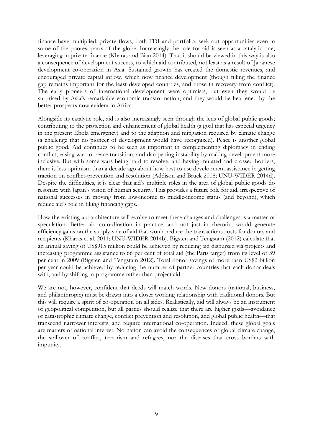finance have multiplied; private flows, both FDI and portfolio, seek out opportunities even in some of the poorest parts of the globe. Increasingly the role for aid is seen as a catalytic one, leveraging in private finance (Kharas and Biau 2014). That it should be viewed in this way is also a consequence of development success, to which aid contributed, not least as a result of Japanese development co-operation in Asia. Sustained growth has created the domestic revenues, and encouraged private capital inflow, which now finance development (though filling the finance gap remains important for the least developed countries, and those in recovery from conflict). The early pioneers of international development were optimists, but even they would be surprised by Asia's remarkable economic transformation, and they would be heartened by the better prospects now evident in Africa.

Alongside its catalytic role, aid is also increasingly seen through the lens of global public goods; contributing to the protection and enhancement of global health (a goal that has especial urgency in the present Ebola emergency) and to the adaption and mitigation required by climate change (a challenge that no pioneer of development would have recognized). Peace is another global public good. Aid continues to be seen as important in complementing diplomacy in ending conflict, easing war-to-peace transition, and dampening instability by making development more inclusive. But with some wars being hard to resolve, and having mutated and crossed borders, there is less optimism than a decade ago about how best to use development assistance in getting traction on conflict-prevention and resolution (Addison and Brück 2008; UNU-WIDER 2014d). Despite the difficulties, it is clear that aid's multiple roles in the area of global public goods do resonate with Japan's vision of human security. This provides a future role for aid, irrespective of national successes in moving from low-income to middle-income status (and beyond), which reduce aid's role in filling financing gaps.

How the existing aid architecture will evolve to meet these changes and challenges is a matter of speculation. Better aid co-ordination in practice, and not just in rhetoric, would generate efficiency gains on the supply-side of aid that would reduce the transactions costs for donors and recipients (Kharas et al. 2011; UNU-WIDER 2014b). Bigsten and Tengstam (2012) calculate that an annual saving of US\$915 million could be achieved by reducing aid disbursed via projects and increasing programme assistance to 66 per cent of total aid (the Paris target) from its level of 39 per cent in 2009 (Bigsten and Tengstam 2012). Total donor savings of more than US\$2 billion per year could be achieved by reducing the number of partner countries that each donor deals with, and by shifting to programme rather than project aid.

We are not, however, confident that deeds will match words. New donors (national, business, and philanthropic) must be drawn into a closer working relationship with traditional donors. But this will require a spirit of co-operation on all sides. Realistically, aid will always be an instrument of geopolitical competition, but all parties should realize that there are higher goals—avoidance of catastrophic climate change, conflict prevention and resolution, and global public health—that transcend narrower interests, and require international co-operation. Indeed, these global goals are matters of national interest. No nation can avoid the consequences of global climate change, the spillover of conflict, terrorism and refugees, nor the diseases that cross borders with impunity.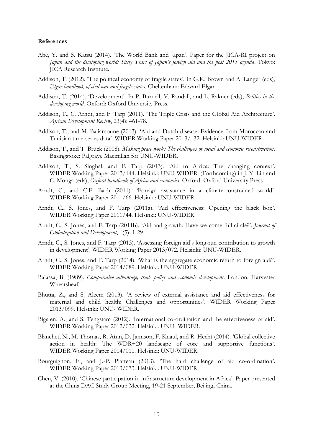#### **References**

- Abe, Y. and S. Katsu (2014). 'The World Bank and Japan'. Paper for the JICA-RI project on *Japan and the developing world: Sixty Years of Japan's foreign aid and the post 2015 agenda*. Tokyo: JICA Research Institute.
- Addison, T. (2012). 'The political economy of fragile states'. In G.K. Brown and A. Langer (eds), *Elgar handbook of civil war and fragile states*. Cheltenham: Edward Elgar.
- Addison, T. (2014). 'Development'. In P. Burnell, V. Randall, and L. Rakner (eds), *Politics in the developing world*. Oxford: Oxford University Press.
- Addison, T., C. Arndt, and F. Tarp (2011). 'The Triple Crisis and the Global Aid Architecture'. *African Development Review*, 23(4): 461-78.
- Addison, T., and M. Baliamoune (2013). 'Aid and Dutch disease: Evidence from Moroccan and Tunisian time-series data'. WIDER Working Paper 2013/132. Helsinki: UNU-WIDER.
- Addison, T., and T. Brück (2008). *Making peace work: The challenges of social and economic reconstruction*. Basingstoke: Palgrave Macmillan for UNU-WIDER.
- Addison, T., S. Singhal, and F. Tarp (2013). 'Aid to Africa: The changing context'. WIDER Working Paper 2013/144. Helsinki: UNU-WIDER. (Forthcoming) in J. Y. Lin and C. Monga (eds), *Oxford handbook of Africa and economics.* Oxford: Oxford University Press.
- Arndt, C., and C.F. Bach (2011). 'Foreign assistance in a climate-constrained world'. WIDER Working Paper 2011/66. Helsinki: UNU-WIDER.
- Arndt, C., S. Jones, and F. Tarp (2011a). 'Aid effectiveness: Opening the black box'. WIDER Working Paper 2011/44. Helsinki: UNU-WIDER.
- Arndt, C., S. Jones, and F. Tarp (2011b). 'Aid and growth: Have we come full circle?'. *Journal of Globalization and Development*, 1(5): 1-29.
- Arndt, C., S. Jones, and F. Tarp (2013). 'Assessing foreign aid's long-run contribution to growth in development'. WIDER Working Paper 2013/072. Helsinki: UNU-WIDER.
- Arndt, C., S. Jones, and F. Tarp (2014). 'What is the aggregate economic return to foreign aid?'. WIDER Working Paper 2014/089. Helsinki: UNU-WIDER.
- Balassa, B. (1989). *Comparative advantage, trade policy and economic development*. London: Harvester Wheatsheaf.
- Bhutta, Z., and S. Aleem (2013). 'A review of external assistance and aid effectiveness for maternal and child health: Challenges and opportunities'. WIDER Working Paper 2013/099. Helsinki: UNU- WIDER.
- Bigsten, A., and S. Tengstam (2012). 'International co-ordination and the effectiveness of aid'. WIDER Working Paper 2012/032. Helsinki: UNU- WIDER.
- Blanchet, N., M. Thomas, R. Atun, D. Jamison, F. Knaul, and R. Hecht (2014). 'Global collective action in health: The WDR+20 landscape of core and supportive functions'. WIDER Working Paper 2014/011. Helsinki: UNU-WIDER.
- Bourguignon, F., and J.-P. Platteau (2013). 'The hard challenge of aid co-ordination'. WIDER Working Paper 2013/073. Helsinki: UNU-WIDER.
- Chen, V. (2010). 'Chinese participation in infrastructure development in Africa'. Paper presented at the China DAC Study Group Meeting, 19-21 September, Beijing, China.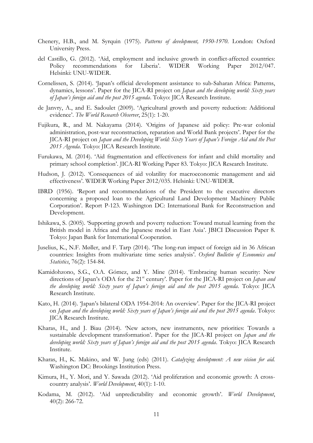- Chenery, H.B., and M. Syrquin (1975). *Patterns of development, 1950-1970*. London: Oxford University Press.
- del Castillo, G. (2012). 'Aid, employment and inclusive growth in conflict-affected countries: Policy recommendations for Liberia'. WIDER Working Paper 2012/047. Helsinki: UNU-WIDER.
- Cornelissen, S. (2014). 'Japan's official development assistance to sub-Saharan Africa: Patterns, dynamics, lessons'. Paper for the JICA-RI project on *Japan and the developing world: Sixty years of Japan's foreign aid and the post 2015 agenda*. Tokyo: JICA Research Institute.
- de Janvry, A., and E. Sadoulet (2009). 'Agricultural growth and poverty reduction: Additional evidence'. *The World Research Observer*, 25(1): 1-20.
- Fujikura, R., and M. Nakayama (2014). 'Origins of Japanese aid policy: Pre-war colonial administration, post-war reconstruction, reparation and World Bank projects'. Paper for the JICA-RI project on *Japan and the Developing World: Sixty Years of Japan's Foreign Aid and the Post 2015 Agenda*. Tokyo: JICA Research Institute.
- Furukawa, M. (2014). 'Aid fragmentation and effectiveness for infant and child mortality and primary school completion'. JICA-RI Working Paper 83. Tokyo: JICA Research Institute.
- Hudson, J. (2012). 'Consequences of aid volatility for macroeconomic management and aid effectiveness'. WIDER Working Paper 2012/035. Helsinki: UNU-WIDER.
- IBRD (1956). 'Report and recommendations of the President to the executive directors concerning a proposed loan to the Agricultural Land Development Machinery Public Corporation'. Report P-123. Washington DC: International Bank for Reconstruction and Development.
- Ishikawa, S. (2005). 'Supporting growth and poverty reduction: Toward mutual learning from the British model in Africa and the Japanese model in East Asia'. JBICI Discussion Paper 8. Tokyo: Japan Bank for International Cooperation.
- Juselius, K., N.F. Møller, and F. Tarp (2014). 'The long-run impact of foreign aid in 36 African countries: Insights from multivariate time series analysis'. *Oxford Bulletin of Economics and Statistics*, 76(2): 154-84.
- Kamidohzono, S.G., O.A. Gómez, and Y. Mine (2014). 'Embracing human security: New directions of Japan's ODA for the 21<sup>st</sup> century'. Paper for the JICA-RI project on *Japan and the developing world: Sixty years of Japan's foreign aid and the post 2015 agenda*. Tokyo: JICA Research Institute.
- Kato, H. (2014). 'Japan's bilateral ODA 1954-2014: An overview'. Paper for the JICA-RI project on *Japan and the developing world: Sixty years of Japan's foreign aid and the post 2015 agenda*. Tokyo: JICA Research Institute.
- Kharas, H., and J. Biau (2014). 'New actors, new instruments, new priorities: Towards a sustainable development transformation'. Paper for the JICA-RI project on *Japan and the developing world: Sixty years of Japan's foreign aid and the post 2015 agenda*. Tokyo: JICA Research Institute.
- Kharas, H., K. Makino, and W. Jung (eds) (2011). *Catalyzing development: A new vision for aid.* Washington DC: Brookings Institution Press.
- Kimura, H., Y. Mori, and Y. Sawada (2012). 'Aid proliferation and economic growth: A crosscountry analysis'. *World Development*, 40(1): 1-10.
- Kodama, M. (2012). 'Aid unpredictability and economic growth'. *World Development*, 40(2): 266-72.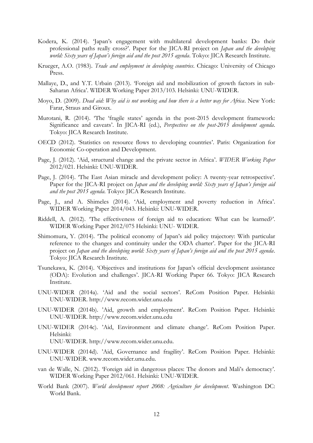- Kodera, K. (2014). 'Japan's engagement with multilateral development banks: Do their professional paths really cross?'. Paper for the JICA-RI project on *Japan and the developing world: Sixty years of Japan's foreign aid and the post 2015 agenda*. Tokyo: JICA Research Institute.
- Krueger, A.O. (1983). *Trade and employment in developing countries*. Chicago: University of Chicago Press.
- Mallaye, D., and Y.T. Urbain (2013). 'Foreign aid and mobilization of growth factors in sub-Saharan Africa'. WIDER Working Paper 2013/103. Helsinki: UNU-WIDER.
- Moyo, D. (2009). *Dead aid: Why aid is not working and how there is a better way for Africa*. New York: Farar, Straus and Giroux.
- Murotani, R. (2014). 'The 'fragile states' agenda in the post-2015 development framework: Significance and caveats'. In JICA-RI (ed.), *Perspectives on the post-2015 development agenda*. Tokyo: JICA Research Institute.
- OECD (2012). 'Statistics on resource flows to developing countries'. Paris: Organization for Economic Co-operation and Development.
- Page, J. (2012). 'Aid, structural change and the private sector in Africa'. *WIDER Working Paper* 2012/021. Helsinki: UNU-WIDER.
- Page, J. (2014). 'The East Asian miracle and development policy: A twenty-year retrospective'. Paper for the JICA-RI project on *Japan and the developing world: Sixty years of Japan's foreign aid and the post 2015 agenda*. Tokyo: JICA Research Institute.
- Page, J., and A. Shimeles (2014). 'Aid, employment and poverty reduction in Africa'. WIDER Working Paper 2014/043. Helsinki: UNU-WIDER.
- Riddell, A. (2012). 'The effectiveness of foreign aid to education: What can be learned?'. WIDER Working Paper 2012/075 Helsinki: UNU- WIDER.
- Shimomura, Y. (2014). 'The political economy of Japan's aid policy trajectory: With particular reference to the changes and continuity under the ODA charter'. Paper for the JICA-RI project on *Japan and the developing world: Sixty years of Japan's foreign aid and the post 2015 agenda*. Tokyo: JICA Research Institute.
- Tsunekawa, K. (2014). 'Objectives and institutions for Japan's official development assistance (ODA): Evolution and challenges'. JICA-RI Working Paper 66. Tokyo: JICA Research Institute.
- UNU-WIDER (2014a). 'Aid and the social sectors'. ReCom Position Paper. Helsinki: UNU-WIDER. http://www.recom.wider.unu.edu
- UNU-WIDER (2014b). 'Aid, growth and employment'. ReCom Position Paper. Helsinki: UNU-WIDER. http://www.recom.wider.unu.edu
- UNU-WIDER (2014c). 'Aid, Environment and climate change'. ReCom Position Paper. Helsinki:

UNU-WIDER. http://www.recom.wider.unu.edu.

- UNU-WIDER (2014d). 'Aid, Governance and fragility'. ReCom Position Paper. Helsinki: UNU-WIDER. www.recom.wider.unu.edu.
- van de Walle, N. (2012). 'Foreign aid in dangerous places: The donors and Mali's democracy'. WIDER Working Paper 2012/061. Helsinki: UNU-WIDER.
- World Bank (2007). *World development report 2008: Agriculture for development*. Washington DC: World Bank.